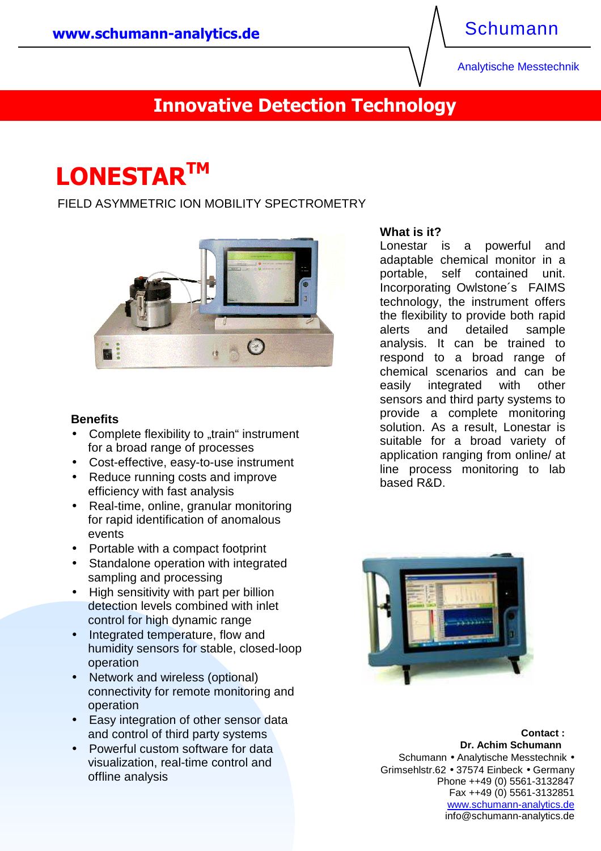### Schumann

Analytische Messtechnik

# **Innovative Detection Technology**

# **LONESTARTM**

FIELD ASYMMETRIC ION MOBILITY SPECTROMETRY



#### **Benefits**

- Complete flexibility to "train" instrument for a broad range of processes
- Cost-effective, easy-to-use instrument
- Reduce running costs and improve efficiency with fast analysis
- Real-time, online, granular monitoring for rapid identification of anomalous events
- Portable with a compact footprint
- Standalone operation with integrated sampling and processing
- High sensitivity with part per billion detection levels combined with inlet control for high dynamic range
- Integrated temperature, flow and humidity sensors for stable, closed-loop operation
- Network and wireless (optional) connectivity for remote monitoring and operation
- **and control of third party systems Contact is a contact if the contact is a contact if the contact is a contact if the contact is a contact if the contact is a contact if the contact is a contact if the contact is a con** • Easy integration of other sensor data
	- visualization, real-time control and offline analysis

#### **What is it?**

Lonestar is a powerful and adaptable chemical monitor in a portable, self contained unit. Incorporating Owlstone´s FAIMS technology, the instrument offers the flexibility to provide both rapid alerts and detailed sample analysis. It can be trained to respond to a broad range of chemical scenarios and can be easily integrated with other sensors and third party systems to provide a complete monitoring solution. As a result, Lonestar is suitable for a broad variety of application ranging from online/ at line process monitoring to lab based R&D.



• Powerful custom software for data **by the contract of the schumann br. Achim Schumann** Schumann • Analytische Messtechnik • Grimsehlstr.62 • 37574 Einbeck • Germany Phone ++49 (0) 5561-3132847 Fax ++49 (0) 5561-3132851 www.schumann-analytics.de info@schumann-analytics.de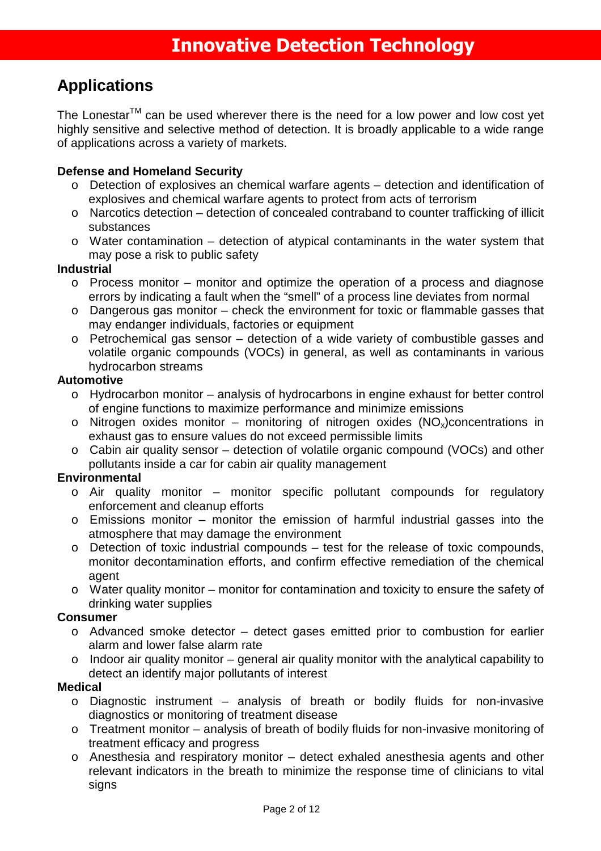### **Applications**

The Lonestar<sup>TM</sup> can be used wherever there is the need for a low power and low cost yet highly sensitive and selective method of detection. It is broadly applicable to a wide range of applications across a variety of markets.

### **Defense and Homeland Security**

- o Detection of explosives an chemical warfare agents detection and identification of explosives and chemical warfare agents to protect from acts of terrorism
- o Narcotics detection detection of concealed contraband to counter trafficking of illicit substances
- o Water contamination detection of atypical contaminants in the water system that may pose a risk to public safety

### **Industrial**

- o Process monitor monitor and optimize the operation of a process and diagnose errors by indicating a fault when the "smell" of a process line deviates from normal
- o Dangerous gas monitor check the environment for toxic or flammable gasses that may endanger individuals, factories or equipment
- o Petrochemical gas sensor detection of a wide variety of combustible gasses and volatile organic compounds (VOCs) in general, as well as contaminants in various hydrocarbon streams

#### **Automotive**

- o Hydrocarbon monitor analysis of hydrocarbons in engine exhaust for better control of engine functions to maximize performance and minimize emissions
- o Nitrogen oxides monitor monitoring of nitrogen oxides  $(NO<sub>x</sub>)$ concentrations in exhaust gas to ensure values do not exceed permissible limits
- o Cabin air quality sensor detection of volatile organic compound (VOCs) and other pollutants inside a car for cabin air quality management

### **Environmental**

- o Air quality monitor monitor specific pollutant compounds for regulatory enforcement and cleanup efforts
- o Emissions monitor monitor the emission of harmful industrial gasses into the atmosphere that may damage the environment
- o Detection of toxic industrial compounds test for the release of toxic compounds, monitor decontamination efforts, and confirm effective remediation of the chemical agent
- o Water quality monitor monitor for contamination and toxicity to ensure the safety of drinking water supplies

#### **Consumer**

- o Advanced smoke detector detect gases emitted prior to combustion for earlier alarm and lower false alarm rate
- o Indoor air quality monitor general air quality monitor with the analytical capability to detect an identify major pollutants of interest

### **Medical**

- o Diagnostic instrument analysis of breath or bodily fluids for non-invasive diagnostics or monitoring of treatment disease
- o Treatment monitor analysis of breath of bodily fluids for non-invasive monitoring of treatment efficacy and progress
- o Anesthesia and respiratory monitor detect exhaled anesthesia agents and other relevant indicators in the breath to minimize the response time of clinicians to vital signs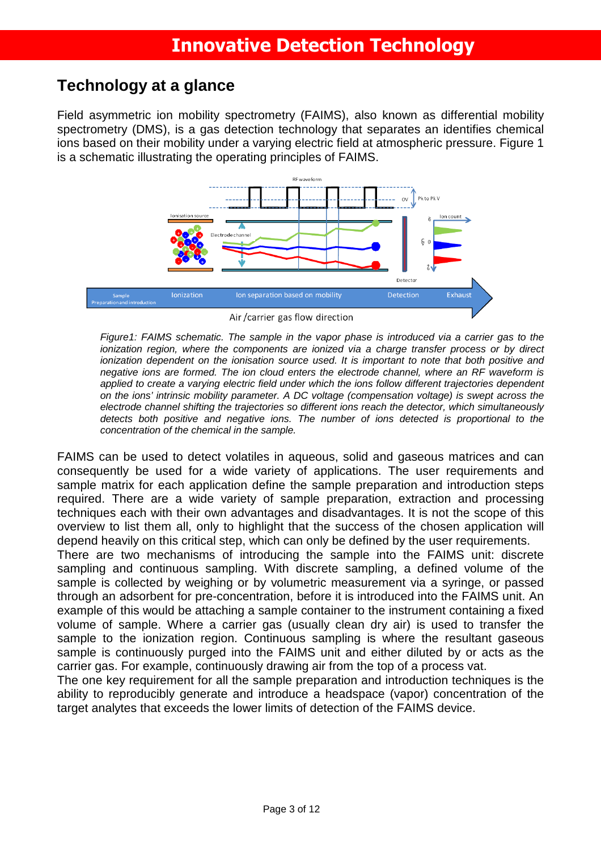### **Technology at a glance**

Field asymmetric ion mobility spectrometry (FAIMS), also known as differential mobility spectrometry (DMS), is a gas detection technology that separates an identifies chemical ions based on their mobility under a varying electric field at atmospheric pressure. Figure 1 is a schematic illustrating the operating principles of FAIMS.



Air/carrier gas flow direction

Figure1: FAIMS schematic. The sample in the vapor phase is introduced via a carrier gas to the ionization region, where the components are ionized via a charge transfer process or by direct ionization dependent on the ionisation source used. It is important to note that both positive and negative ions are formed. The ion cloud enters the electrode channel, where an RF waveform is applied to create a varying electric field under which the ions follow different trajectories dependent on the ions' intrinsic mobility parameter. A DC voltage (compensation voltage) is swept across the electrode channel shifting the trajectories so different ions reach the detector, which simultaneously detects both positive and negative ions. The number of ions detected is proportional to the concentration of the chemical in the sample.

FAIMS can be used to detect volatiles in aqueous, solid and gaseous matrices and can consequently be used for a wide variety of applications. The user requirements and sample matrix for each application define the sample preparation and introduction steps required. There are a wide variety of sample preparation, extraction and processing techniques each with their own advantages and disadvantages. It is not the scope of this overview to list them all, only to highlight that the success of the chosen application will depend heavily on this critical step, which can only be defined by the user requirements.

There are two mechanisms of introducing the sample into the FAIMS unit: discrete sampling and continuous sampling. With discrete sampling, a defined volume of the sample is collected by weighing or by volumetric measurement via a syringe, or passed through an adsorbent for pre-concentration, before it is introduced into the FAIMS unit. An example of this would be attaching a sample container to the instrument containing a fixed volume of sample. Where a carrier gas (usually clean dry air) is used to transfer the sample to the ionization region. Continuous sampling is where the resultant gaseous sample is continuously purged into the FAIMS unit and either diluted by or acts as the carrier gas. For example, continuously drawing air from the top of a process vat.

The one key requirement for all the sample preparation and introduction techniques is the ability to reproducibly generate and introduce a headspace (vapor) concentration of the target analytes that exceeds the lower limits of detection of the FAIMS device.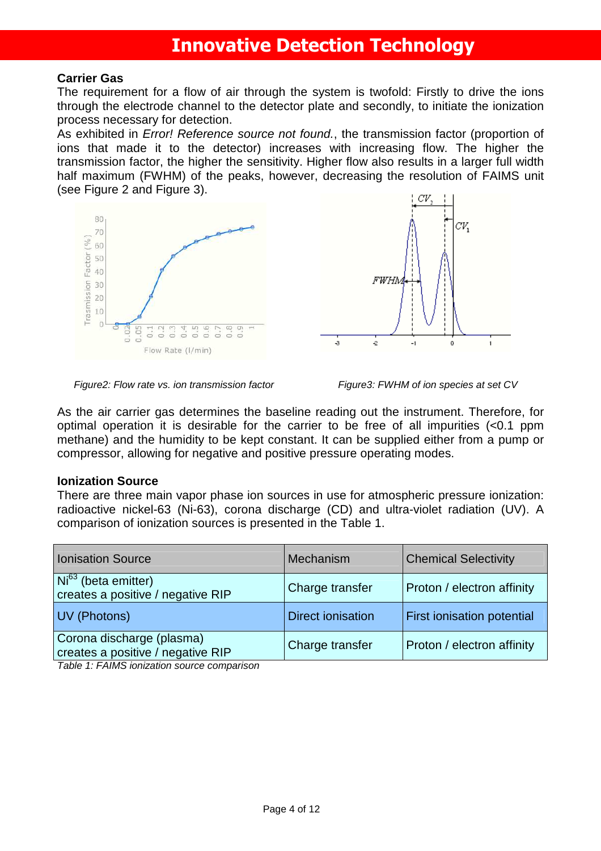#### **Carrier Gas**

The requirement for a flow of air through the system is twofold: Firstly to drive the ions through the electrode channel to the detector plate and secondly, to initiate the ionization process necessary for detection.

As exhibited in *Error! Reference source not found.*, the transmission factor (proportion of ions that made it to the detector) increases with increasing flow. The higher the transmission factor, the higher the sensitivity. Higher flow also results in a larger full width half maximum (FWHM) of the peaks, however, decreasing the resolution of FAIMS unit (see Figure 2 and Figure 3).





Figure2: Flow rate vs. ion transmission factor Figure3: FWHM of ion species at set CV

As the air carrier gas determines the baseline reading out the instrument. Therefore, for optimal operation it is desirable for the carrier to be free of all impurities (<0.1 ppm methane) and the humidity to be kept constant. It can be supplied either from a pump or compressor, allowing for negative and positive pressure operating modes.

#### **Ionization Source**

There are three main vapor phase ion sources in use for atmospheric pressure ionization: radioactive nickel-63 (Ni-63), corona discharge (CD) and ultra-violet radiation (UV). A comparison of ionization sources is presented in the Table 1.

| Ionisation Source                                                        | Mechanism                | <b>Chemical Selectivity</b> |
|--------------------------------------------------------------------------|--------------------------|-----------------------------|
| $\overline{Ni^{63}}$ (beta emitter)<br>creates a positive / negative RIP | Charge transfer          | Proton / electron affinity  |
| UV (Photons)                                                             | <b>Direct ionisation</b> | First ionisation potential  |
| Corona discharge (plasma)<br>creates a positive / negative RIP           | Charge transfer          | Proton / electron affinity  |

Table 1: FAIMS ionization source comparison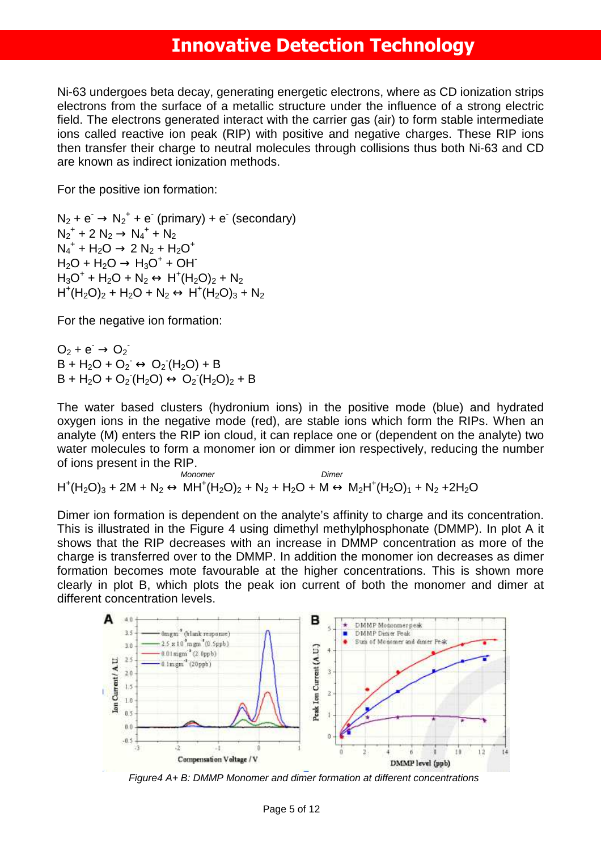Ni-63 undergoes beta decay, generating energetic electrons, where as CD ionization strips electrons from the surface of a metallic structure under the influence of a strong electric field. The electrons generated interact with the carrier gas (air) to form stable intermediate ions called reactive ion peak (RIP) with positive and negative charges. These RIP ions then transfer their charge to neutral molecules through collisions thus both Ni-63 and CD are known as indirect ionization methods.

For the positive ion formation:

 $N_2 + e^- \rightarrow N_2^+ + e^-$  (primary) + e (secondary)  $N_2^+$  + 2  $N_2 \rightarrow N_4^+$  +  $N_2$  $N_4^+$  + H<sub>2</sub>O  $\rightarrow$  2 N<sub>2</sub> + H<sub>2</sub>O<sup>+</sup>  $H_2O + H_2O \rightarrow H_3O^+ + OH^ H_3O^+$  +  $H_2O$  +  $N_2 \leftrightarrow H^+(H_2O)_2$  +  $N_2$  $H^+(H_2O)_2 + H_2O + N_2 \leftrightarrow H^+(H_2O)_3 + N_2$ 

For the negative ion formation:

 $O_2 + e^- \rightarrow O_2^ B + H<sub>2</sub>O + O<sub>2</sub> \leftrightarrow O<sub>2</sub>(H<sub>2</sub>O) + B$  $B + H_2O + O_2(H_2O) \leftrightarrow O_2(H_2O)_2 + B$ 

The water based clusters (hydronium ions) in the positive mode (blue) and hydrated oxygen ions in the negative mode (red), are stable ions which form the RIPs. When an analyte (M) enters the RIP ion cloud, it can replace one or (dependent on the analyte) two water molecules to form a monomer ion or dimmer ion respectively, reducing the number of ions present in the RIP.

Monomer **Dimer** Dimer  $H^+(H_2O)_3 + 2M + N_2 \leftrightarrow MH^+(H_2O)_2 + N_2 + H_2O + M \leftrightarrow M_2H^+(H_2O)_1 + N_2 + 2H_2O$ 

Dimer ion formation is dependent on the analyte's affinity to charge and its concentration. This is illustrated in the Figure 4 using dimethyl methylphosphonate (DMMP). In plot A it shows that the RIP decreases with an increase in DMMP concentration as more of the charge is transferred over to the DMMP. In addition the monomer ion decreases as dimer formation becomes mote favourable at the higher concentrations. This is shown more clearly in plot B, which plots the peak ion current of both the monomer and dimer at different concentration levels.



Figure4 A+ B: DMMP Monomer and dimer formation at different concentrations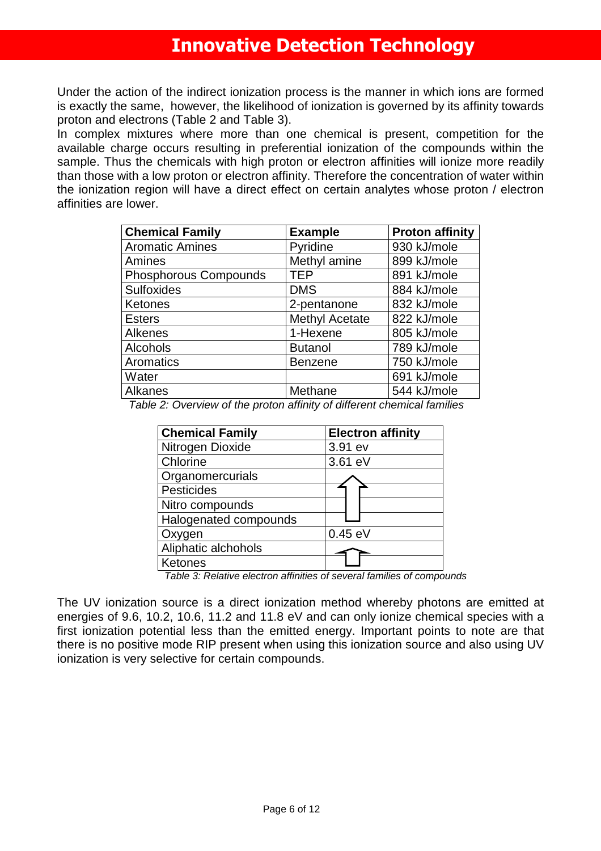Under the action of the indirect ionization process is the manner in which ions are formed is exactly the same, however, the likelihood of ionization is governed by its affinity towards proton and electrons (Table 2 and Table 3).

In complex mixtures where more than one chemical is present, competition for the available charge occurs resulting in preferential ionization of the compounds within the sample. Thus the chemicals with high proton or electron affinities will ionize more readily than those with a low proton or electron affinity. Therefore the concentration of water within the ionization region will have a direct effect on certain analytes whose proton / electron affinities are lower.

| <b>Chemical Family</b>       | <b>Example</b>        | <b>Proton affinity</b> |
|------------------------------|-----------------------|------------------------|
| <b>Aromatic Amines</b>       | Pyridine              | 930 kJ/mole            |
| Amines                       | Methyl amine          | 899 kJ/mole            |
| <b>Phosphorous Compounds</b> | <b>TEP</b>            | 891 kJ/mole            |
| <b>Sulfoxides</b>            | <b>DMS</b>            | 884 kJ/mole            |
| Ketones                      | 2-pentanone           | 832 kJ/mole            |
| <b>Esters</b>                | <b>Methyl Acetate</b> | 822 kJ/mole            |
| <b>Alkenes</b>               | 1-Hexene              | 805 kJ/mole            |
| Alcohols                     | <b>Butanol</b>        | 789 kJ/mole            |
| Aromatics                    | <b>Benzene</b>        | 750 kJ/mole            |
| Water                        |                       | 691 kJ/mole            |
| Alkanes                      | Methane               | 544 kJ/mole            |

Table 2: Overview of the proton affinity of different chemical families

| <b>Chemical Family</b> | <b>Electron affinity</b> |
|------------------------|--------------------------|
| Nitrogen Dioxide       | 3.91 ev                  |
| Chlorine               | 3.61 eV                  |
| Organomercurials       |                          |
| Pesticides             |                          |
| Nitro compounds        |                          |
| Halogenated compounds  |                          |
| Oxygen                 | $0.45$ eV                |
| Aliphatic alchohols    |                          |
| Ketones                |                          |

Table 3: Relative electron affinities of several families of compounds

The UV ionization source is a direct ionization method whereby photons are emitted at energies of 9.6, 10.2, 10.6, 11.2 and 11.8 eV and can only ionize chemical species with a first ionization potential less than the emitted energy. Important points to note are that there is no positive mode RIP present when using this ionization source and also using UV ionization is very selective for certain compounds.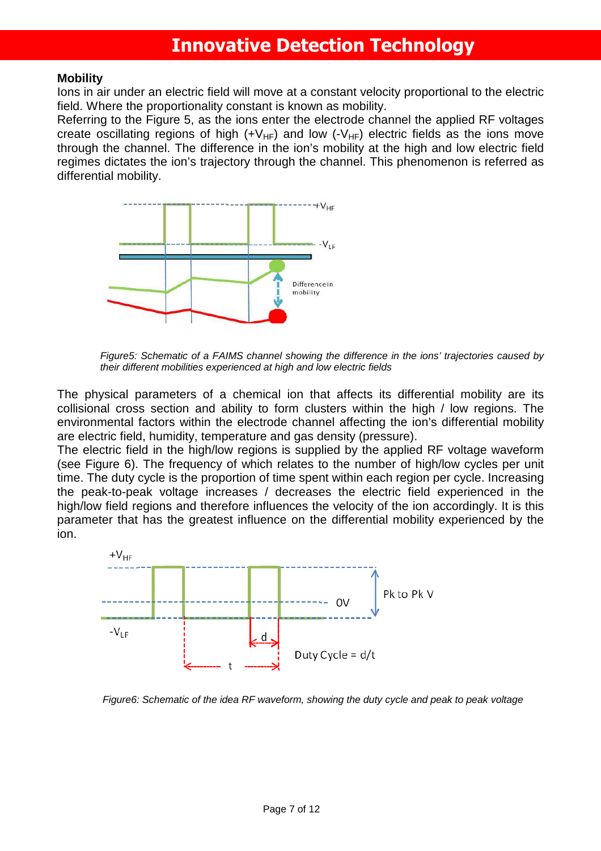#### **Mobility**

Ions in air under an electric field will move at a constant velocity proportional to the electric field. Where the proportionality constant is known as mobility.

Referring to the Figure 5, as the ions enter the electrode channel the applied RF voltages create oscillating regions of high  $(+V_{HF})$  and low  $(-V_{HF})$  electric fields as the ions move through the channel. The difference in the ion's mobility at the high and low electric field regimes dictates the ion's trajectory through the channel. This phenomenon is referred as differential mobility.



Figure5: Schematic of a FAIMS channel showing the difference in the ions' trajectories caused by their different mobilities experienced at high and low electric fields

The physical parameters of a chemical ion that affects its differential mobility are its collisional cross section and ability to form clusters within the high / low regions. The environmental factors within the electrode channel affecting the ion's differential mobility are electric field, humidity, temperature and gas density (pressure).

The electric field in the high/low regions is supplied by the applied RF voltage waveform (see Figure 6). The frequency of which relates to the number of high/low cycles per unit time. The duty cycle is the proportion of time spent within each region per cycle. Increasing the peak-to-peak voltage increases / decreases the electric field experienced in the high/low field regions and therefore influences the velocity of the ion accordingly. It is this parameter that has the greatest influence on the differential mobility experienced by the ion.



Figure6: Schematic of the idea RF waveform, showing the duty cycle and peak to peak voltage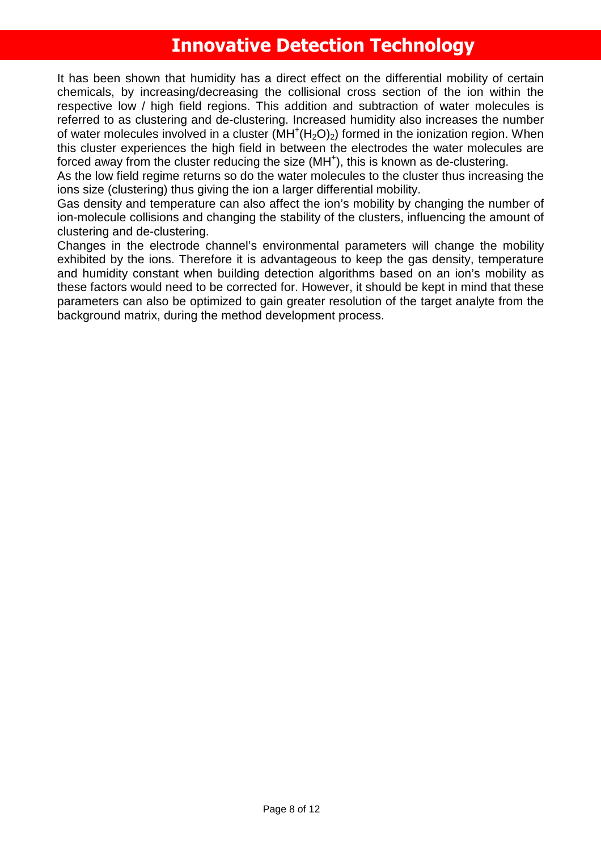It has been shown that humidity has a direct effect on the differential mobility of certain chemicals, by increasing/decreasing the collisional cross section of the ion within the respective low / high field regions. This addition and subtraction of water molecules is referred to as clustering and de-clustering. Increased humidity also increases the number of water molecules involved in a cluster  $(MH^+(H_2O)_2)$  formed in the ionization region. When this cluster experiences the high field in between the electrodes the water molecules are forced away from the cluster reducing the size (MH<sup>+</sup>), this is known as de-clustering.

As the low field regime returns so do the water molecules to the cluster thus increasing the ions size (clustering) thus giving the ion a larger differential mobility.

Gas density and temperature can also affect the ion's mobility by changing the number of ion-molecule collisions and changing the stability of the clusters, influencing the amount of clustering and de-clustering.

Changes in the electrode channel's environmental parameters will change the mobility exhibited by the ions. Therefore it is advantageous to keep the gas density, temperature and humidity constant when building detection algorithms based on an ion's mobility as these factors would need to be corrected for. However, it should be kept in mind that these parameters can also be optimized to gain greater resolution of the target analyte from the background matrix, during the method development process.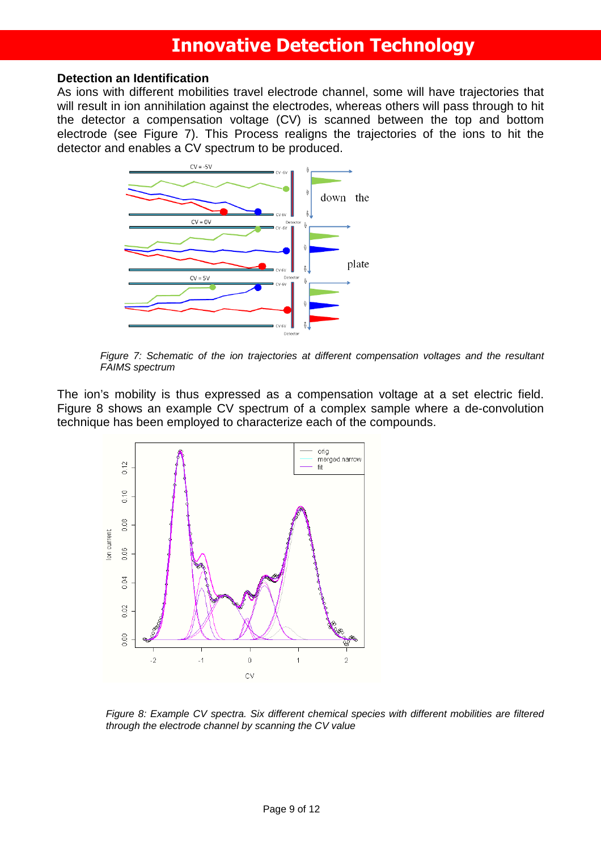#### **Detection an Identification**

As ions with different mobilities travel electrode channel, some will have trajectories that will result in ion annihilation against the electrodes, whereas others will pass through to hit the detector a compensation voltage (CV) is scanned between the top and bottom electrode (see Figure 7). This Process realigns the trajectories of the ions to hit the detector and enables a CV spectrum to be produced.



Figure 7: Schematic of the ion trajectories at different compensation voltages and the resultant FAIMS spectrum

The ion's mobility is thus expressed as a compensation voltage at a set electric field. Figure 8 shows an example CV spectrum of a complex sample where a de-convolution technique has been employed to characterize each of the compounds.



Figure 8: Example CV spectra. Six different chemical species with different mobilities are filtered through the electrode channel by scanning the CV value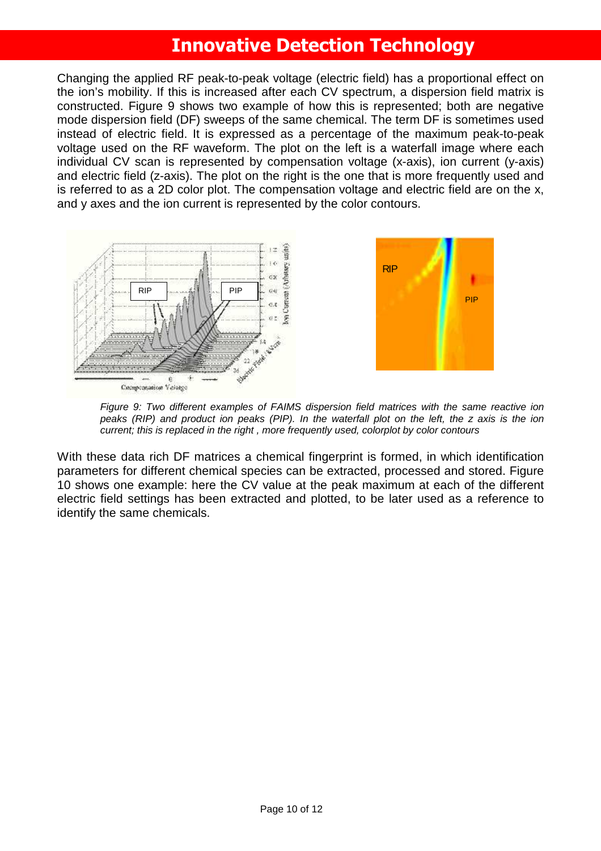Changing the applied RF peak-to-peak voltage (electric field) has a proportional effect on the ion's mobility. If this is increased after each CV spectrum, a dispersion field matrix is constructed. Figure 9 shows two example of how this is represented; both are negative mode dispersion field (DF) sweeps of the same chemical. The term DF is sometimes used instead of electric field. It is expressed as a percentage of the maximum peak-to-peak voltage used on the RF waveform. The plot on the left is a waterfall image where each individual CV scan is represented by compensation voltage (x-axis), ion current (y-axis) and electric field (z-axis). The plot on the right is the one that is more frequently used and is referred to as a 2D color plot. The compensation voltage and electric field are on the x, and y axes and the ion current is represented by the color contours.



Figure 9: Two different examples of FAIMS dispersion field matrices with the same reactive ion peaks (RIP) and product ion peaks (PIP). In the waterfall plot on the left, the z axis is the ion current; this is replaced in the right , more frequently used, colorplot by color contours

With these data rich DF matrices a chemical fingerprint is formed, in which identification parameters for different chemical species can be extracted, processed and stored. Figure 10 shows one example: here the CV value at the peak maximum at each of the different electric field settings has been extracted and plotted, to be later used as a reference to identify the same chemicals.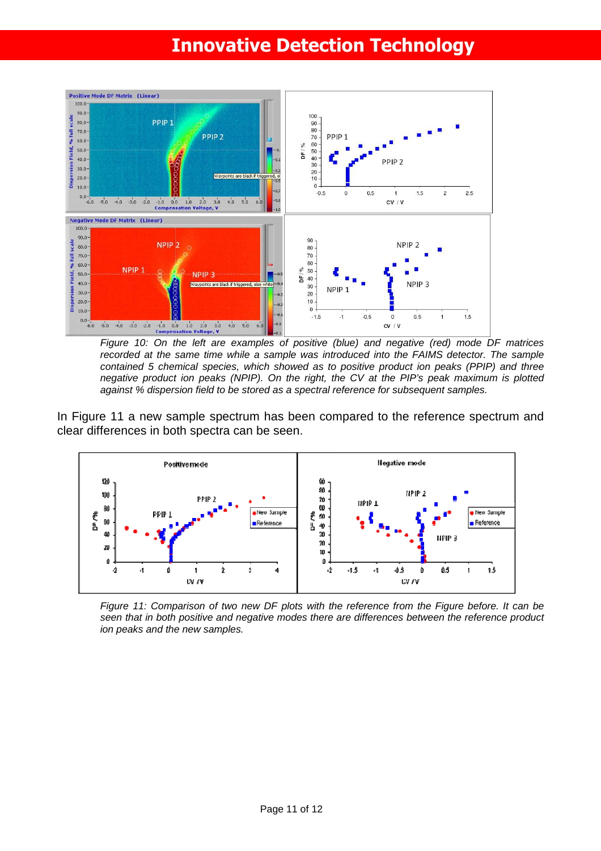

Figure 10: On the left are examples of positive (blue) and negative (red) mode DF matrices recorded at the same time while a sample was introduced into the FAIMS detector. The sample contained 5 chemical species, which showed as to positive product ion peaks (PPIP) and three negative product ion peaks (NPIP). On the right, the CV at the PIP's peak maximum is plotted against % dispersion field to be stored as a spectral reference for subsequent samples.

In Figure 11 a new sample spectrum has been compared to the reference spectrum and clear differences in both spectra can be seen.



Figure 11: Comparison of two new DF plots with the reference from the Figure before. It can be seen that in both positive and negative modes there are differences between the reference product ion peaks and the new samples.